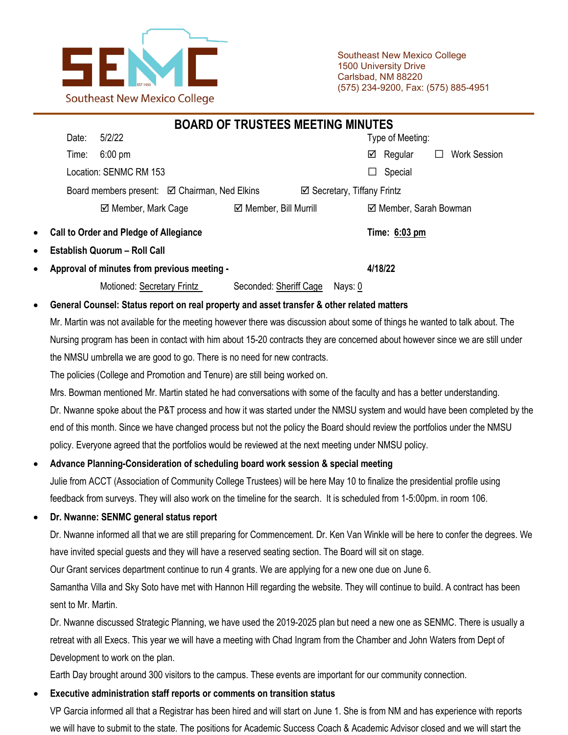

Southeast New Mexico College 1500 University Drive Carlsbad, NM 88220 (575) 234-9200, Fax: (575) 885-4951

|                                                      |                                                                                                                              | <b>BOARD OF TRUSTEES MEETING MINUTES</b> |                                       |                         |  |                     |  |
|------------------------------------------------------|------------------------------------------------------------------------------------------------------------------------------|------------------------------------------|---------------------------------------|-------------------------|--|---------------------|--|
|                                                      | 5/2/22<br>Date:                                                                                                              |                                          |                                       | Type of Meeting:        |  |                     |  |
|                                                      | $6:00 \text{ pm}$<br>Time:                                                                                                   |                                          |                                       | Regular<br>☑            |  | <b>Work Session</b> |  |
|                                                      | Location: SENMC RM 153                                                                                                       |                                          |                                       | Special<br>$\mathsf{L}$ |  |                     |  |
| Board members present: <b>☑</b> Chairman, Ned Elkins |                                                                                                                              |                                          | $\boxtimes$ Secretary, Tiffany Frintz |                         |  |                     |  |
|                                                      | ☑ Member, Mark Cage                                                                                                          | ☑ Member, Bill Murrill                   |                                       | ☑ Member, Sarah Bowman  |  |                     |  |
| $\bullet$                                            | <b>Call to Order and Pledge of Allegiance</b>                                                                                |                                          |                                       | Time: 6:03 pm           |  |                     |  |
| $\bullet$                                            | <b>Establish Quorum - Roll Call</b>                                                                                          |                                          |                                       |                         |  |                     |  |
| $\bullet$                                            | Approval of minutes from previous meeting -                                                                                  |                                          | 4/18/22                               |                         |  |                     |  |
|                                                      | Motioned: Secretary Frintz                                                                                                   | Seconded: Sheriff Cage                   | Nays: 0                               |                         |  |                     |  |
| $\bullet$                                            | General Counsel: Status report on real property and asset transfer & other related matters                                   |                                          |                                       |                         |  |                     |  |
|                                                      | Mr. Martin was not available for the meeting however there was discussion about some of things he wanted to talk about. The  |                                          |                                       |                         |  |                     |  |
|                                                      | Nursing program has been in contact with him about 15-20 contracts they are concerned about however since we are still under |                                          |                                       |                         |  |                     |  |

the NMSU umbrella we are good to go. There is no need for new contracts.

The policies (College and Promotion and Tenure) are still being worked on.

Mrs. Bowman mentioned Mr. Martin stated he had conversations with some of the faculty and has a better understanding. Dr. Nwanne spoke about the P&T process and how it was started under the NMSU system and would have been completed by the end of this month. Since we have changed process but not the policy the Board should review the portfolios under the NMSU policy. Everyone agreed that the portfolios would be reviewed at the next meeting under NMSU policy.

# • **Advance Planning-Consideration of scheduling board work session & special meeting**

Julie from ACCT (Association of Community College Trustees) will be here May 10 to finalize the presidential profile using feedback from surveys. They will also work on the timeline for the search. It is scheduled from 1-5:00pm. in room 106.

# • **Dr. Nwanne: SENMC general status report**

Dr. Nwanne informed all that we are still preparing for Commencement. Dr. Ken Van Winkle will be here to confer the degrees. We have invited special guests and they will have a reserved seating section. The Board will sit on stage.

Our Grant services department continue to run 4 grants. We are applying for a new one due on June 6.

Samantha Villa and Sky Soto have met with Hannon Hill regarding the website. They will continue to build. A contract has been sent to Mr. Martin.

Dr. Nwanne discussed Strategic Planning, we have used the 2019-2025 plan but need a new one as SENMC. There is usually a retreat with all Execs. This year we will have a meeting with Chad Ingram from the Chamber and John Waters from Dept of Development to work on the plan.

Earth Day brought around 300 visitors to the campus. These events are important for our community connection.

# • **Executive administration staff reports or comments on transition status**

VP Garcia informed all that a Registrar has been hired and will start on June 1. She is from NM and has experience with reports we will have to submit to the state. The positions for Academic Success Coach & Academic Advisor closed and we will start the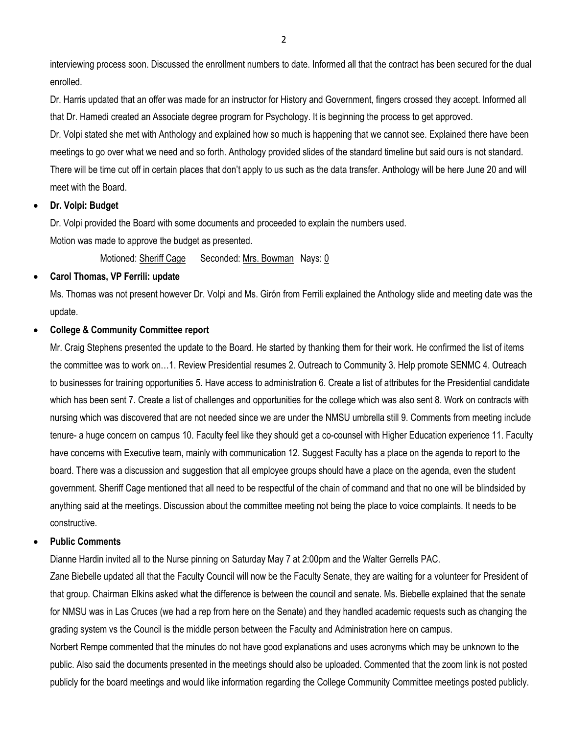interviewing process soon. Discussed the enrollment numbers to date. Informed all that the contract has been secured for the dual enrolled.

Dr. Harris updated that an offer was made for an instructor for History and Government, fingers crossed they accept. Informed all that Dr. Hamedi created an Associate degree program for Psychology. It is beginning the process to get approved.

Dr. Volpi stated she met with Anthology and explained how so much is happening that we cannot see. Explained there have been meetings to go over what we need and so forth. Anthology provided slides of the standard timeline but said ours is not standard. There will be time cut off in certain places that don't apply to us such as the data transfer. Anthology will be here June 20 and will meet with the Board.

• **Dr. Volpi: Budget**

Dr. Volpi provided the Board with some documents and proceeded to explain the numbers used.

Motion was made to approve the budget as presented.

Motioned: Sheriff Cage Seconded: Mrs. Bowman Nays: 0

#### • **Carol Thomas, VP Ferrili: update**

Ms. Thomas was not present however Dr. Volpi and Ms. Girón from Ferrili explained the Anthology slide and meeting date was the update.

#### • **College & Community Committee report**

Mr. Craig Stephens presented the update to the Board. He started by thanking them for their work. He confirmed the list of items the committee was to work on…1. Review Presidential resumes 2. Outreach to Community 3. Help promote SENMC 4. Outreach to businesses for training opportunities 5. Have access to administration 6. Create a list of attributes for the Presidential candidate which has been sent 7. Create a list of challenges and opportunities for the college which was also sent 8. Work on contracts with nursing which was discovered that are not needed since we are under the NMSU umbrella still 9. Comments from meeting include tenure- a huge concern on campus 10. Faculty feel like they should get a co-counsel with Higher Education experience 11. Faculty have concerns with Executive team, mainly with communication 12. Suggest Faculty has a place on the agenda to report to the board. There was a discussion and suggestion that all employee groups should have a place on the agenda, even the student government. Sheriff Cage mentioned that all need to be respectful of the chain of command and that no one will be blindsided by anything said at the meetings. Discussion about the committee meeting not being the place to voice complaints. It needs to be constructive.

#### • **Public Comments**

Dianne Hardin invited all to the Nurse pinning on Saturday May 7 at 2:00pm and the Walter Gerrells PAC.

Zane Biebelle updated all that the Faculty Council will now be the Faculty Senate, they are waiting for a volunteer for President of that group. Chairman Elkins asked what the difference is between the council and senate. Ms. Biebelle explained that the senate for NMSU was in Las Cruces (we had a rep from here on the Senate) and they handled academic requests such as changing the grading system vs the Council is the middle person between the Faculty and Administration here on campus.

Norbert Rempe commented that the minutes do not have good explanations and uses acronyms which may be unknown to the public. Also said the documents presented in the meetings should also be uploaded. Commented that the zoom link is not posted publicly for the board meetings and would like information regarding the College Community Committee meetings posted publicly.